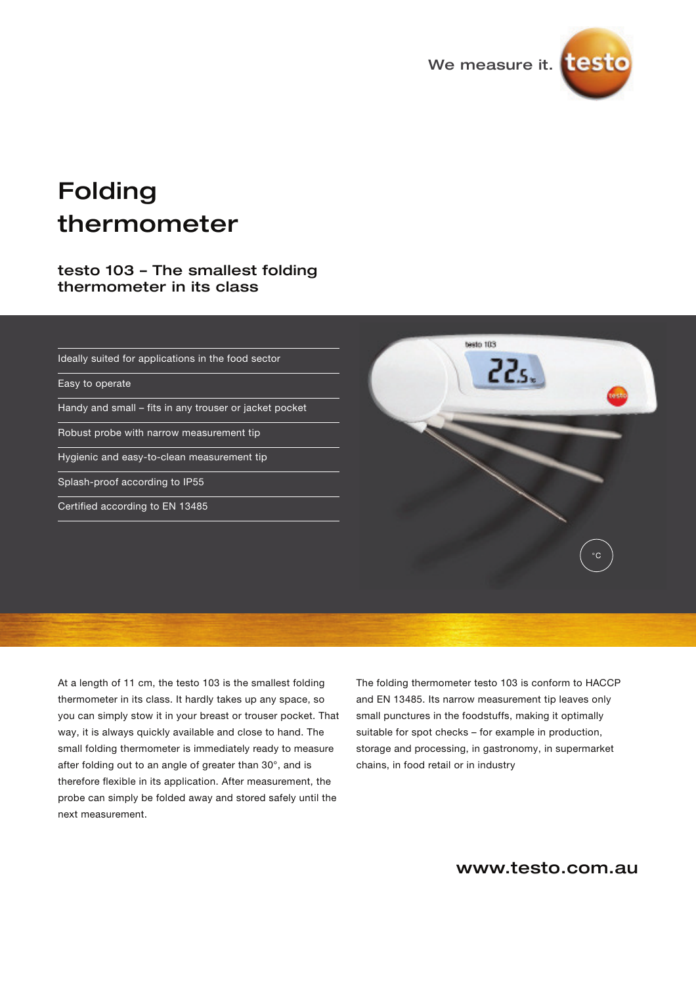

# Folding thermometer

## testo 103 – The smallest folding thermometer in its class

Ideally suited for applications in the food sector

Easy to operate

Handy and small – fits in any trouser or jacket pocket

Robust probe with narrow measurement tip

Hygienic and easy-to-clean measurement tip

Splash-proof according to IP55

Certified according to EN 13485



At a length of 11 cm, the testo 103 is the smallest folding thermometer in its class. It hardly takes up any space, so you can simply stow it in your breast or trouser pocket. That way, it is always quickly available and close to hand. The small folding thermometer is immediately ready to measure after folding out to an angle of greater than 30°, and is therefore flexible in its application. After measurement, the probe can simply be folded away and stored safely until the next measurement.

The folding thermometer testo 103 is conform to HACCP and EN 13485. Its narrow measurement tip leaves only small punctures in the foodstuffs, making it optimally suitable for spot checks – for example in production, storage and processing, in gastronomy, in supermarket chains, in food retail or in industry

www.testo.com.au